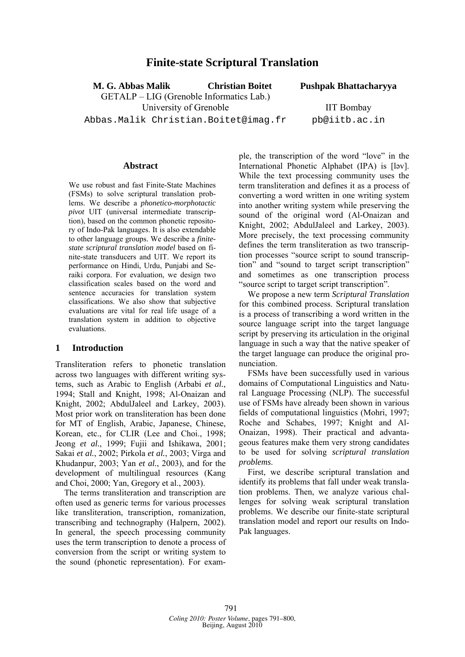# **Finite-state Scriptural Translation**

**M. G. Abbas Malik Christian Boitet Pushpak Bhattacharyya** 

GETALP – LIG (Grenoble Informatics Lab.) University of Grenoble **IIT Bombay** 

Abbas.Malik Christian.Boitet@imag.fr pb@iitb.ac.in

#### **Abstract**

We use robust and fast Finite-State Machines (FSMs) to solve scriptural translation problems. We describe a *phonetico-morphotactic pivot* UIT (universal intermediate transcription), based on the common phonetic repository of Indo-Pak languages. It is also extendable to other language groups. We describe a *finitestate scriptural translation model* based on finite-state transducers and UIT. We report its performance on Hindi, Urdu, Punjabi and Seraiki corpora. For evaluation, we design two classification scales based on the word and sentence accuracies for translation system classifications. We also show that subjective evaluations are vital for real life usage of a translation system in addition to objective evaluations.

#### **1 Introduction**

Transliteration refers to phonetic translation across two languages with different writing systems, such as Arabic to English (Arbabi *et al.*, 1994; Stall and Knight, 1998; Al-Onaizan and Knight, 2002; AbdulJaleel and Larkey, 2003). Most prior work on transliteration has been done for MT of English, Arabic, Japanese, Chinese, Korean, etc., for CLIR (Lee and Choi., 1998; Jeong *et al.*, 1999; Fujii and Ishikawa, 2001; Sakai *et al.*, 2002; Pirkola *et al.*, 2003; Virga and Khudanpur, 2003; Yan *et al.*, 2003), and for the development of multilingual resources (Kang and Choi, 2000; Yan, Gregory et al., 2003).

The terms transliteration and transcription are often used as generic terms for various processes like transliteration, transcription, romanization, transcribing and technography (Halpern, 2002). In general, the speech processing community uses the term transcription to denote a process of conversion from the script or writing system to the sound (phonetic representation). For example, the transcription of the word "love" in the International Phonetic Alphabet (IPA) is [ləv]. While the text processing community uses the term transliteration and defines it as a process of converting a word written in one writing system into another writing system while preserving the sound of the original word (Al-Onaizan and Knight, 2002; AbdulJaleel and Larkey, 2003). More precisely, the text processing community defines the term transliteration as two transcription processes "source script to sound transcription" and "sound to target script transcription" and sometimes as one transcription process "source script to target script transcription".

We propose a new term *Scriptural Translation* for this combined process. Scriptural translation is a process of transcribing a word written in the source language script into the target language script by preserving its articulation in the original language in such a way that the native speaker of the target language can produce the original pronunciation.

FSMs have been successfully used in various domains of Computational Linguistics and Natural Language Processing (NLP). The successful use of FSMs have already been shown in various fields of computational linguistics (Mohri, 1997; Roche and Schabes, 1997; Knight and Al-Onaizan, 1998). Their practical and advantageous features make them very strong candidates to be used for solving *scriptural translation problems*.

First, we describe scriptural translation and identify its problems that fall under weak translation problems. Then, we analyze various challenges for solving weak scriptural translation problems. We describe our finite-state scriptural translation model and report our results on Indo-Pak languages.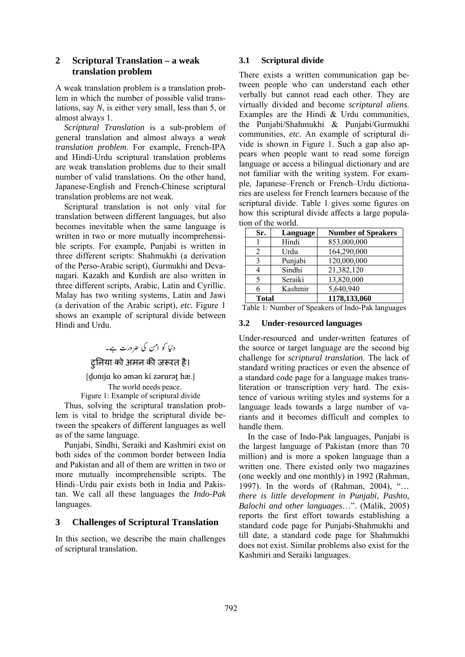## **2 Scriptural Translation – a weak translation problem**

A weak translation problem is a translation problem in which the number of possible valid translations, say *N*, is either very small, less than 5, or almost always 1.

*Scriptural Translation* is a sub-problem of general translation and almost always a *weak translation problem*. For example, French-IPA and Hindi-Urdu scriptural translation problems are weak translation problems due to their small number of valid translations. On the other hand, Japanese-English and French-Chinese scriptural translation problems are not weak.

Scriptural translation is not only vital for translation between different languages, but also becomes inevitable when the same language is written in two or more mutually incomprehensible scripts. For example, Punjabi is written in three different scripts: Shahmukhi (a derivation of the Perso-Arabic script), Gurmukhi and Devanagari. Kazakh and Kurdish are also written in three different scripts, Arabic, Latin and Cyrillic. Malay has two writing systems, Latin and Jawi (a derivation of the Arabic script), *etc.* Figure 1 shows an example of scriptural divide between Hindi and Urdu.

> دنیا کو امن کی ضرورت ہے۔ ट्रनिया को अमन की ज़रूरत है।

[donija ko əmən ki zərurət hæ.] The world needs peace.

Figure 1: Example of scriptural divide

Thus, solving the scriptural translation problem is vital to bridge the scriptural divide between the speakers of different languages as well as of the same language.

Punjabi, Sindhi, Seraiki and Kashmiri exist on both sides of the common border between India and Pakistan and all of them are written in two or more mutually incomprehensible scripts. The Hindi–Urdu pair exists both in India and Pakistan. We call all these languages the *Indo-Pak*  languages.

### **3 Challenges of Scriptural Translation**

In this section, we describe the main challenges of scriptural translation.

#### **3.1 Scriptural divide**

There exists a written communication gap between people who can understand each other verbally but cannot read each other. They are virtually divided and become *scriptural aliens*. Examples are the Hindi & Urdu communities, the Punjabi/Shahmukhi & Punjabi/Gurmukhi communities, *etc.* An example of scriptural divide is shown in Figure 1. Such a gap also appears when people want to read some foreign language or access a bilingual dictionary and are not familiar with the writing system. For example, Japanese–French or French–Urdu dictionaries are useless for French learners because of the scriptural divide. Table 1 gives some figures on how this scriptural divide affects a large population of the world.

| Sr.          | Language | <b>Number of Speakers</b> |
|--------------|----------|---------------------------|
|              | Hindi    | 853,000,000               |
| 2            | Urdu     | 164,290,000               |
| 3            | Punjabi  | 120,000,000               |
|              | Sindhi   | 21,382,120                |
| 5            | Seraiki  | 13,820,000                |
|              | Kashmir  | 5,640,940                 |
| <b>Total</b> |          | 1178,133,060              |

Table 1: Number of Speakers of Indo-Pak languages

### **3.2 Under-resourced languages**

Under-resourced and under-written features of the source or target language are the second big challenge for *scriptural translation*. The lack of standard writing practices or even the absence of a standard code page for a language makes transliteration or transcription very hard. The existence of various writing styles and systems for a language leads towards a large number of variants and it becomes difficult and complex to handle them.

In the case of Indo-Pak languages, Punjabi is the largest language of Pakistan (more than 70 million) and is more a spoken language than a written one. There existed only two magazines (one weekly and one monthly) in 1992 (Rahman, 1997). In the words of (Rahman, 2004), "… *there is little development in Punjabi, Pashto, Balochi and other languages*…". (Malik, 2005) reports the first effort towards establishing a standard code page for Punjabi-Shahmukhi and till date, a standard code page for Shahmukhi does not exist. Similar problems also exist for the Kashmiri and Seraiki languages.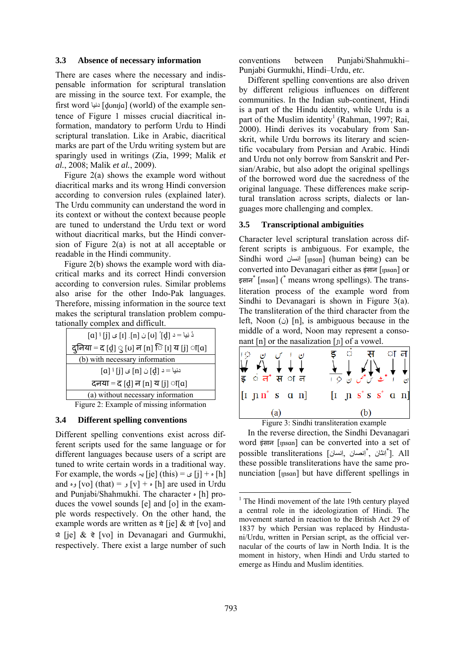### **3.3 Absence of necessary information**

There are cases where the necessary and indispensable information for scriptural translation are missing in the source text. For example, the first word دنيا] ḓʊnɪjɑ] (world) of the example sentence of Figure 1 misses crucial diacritical information, mandatory to perform Urdu to Hindi scriptural translation. Like in Arabic, diacritical marks are part of the Urdu writing system but are sparingly used in writings (Zia, 1999; Malik *et al.*, 2008; Malik *et al.*, 2009).

Figure 2(a) shows the example word without diacritical marks and its wrong Hindi conversion according to conversion rules (explained later). The Urdu community can understand the word in its context or without the context because people are tuned to understand the Urdu text or word without diacritical marks, but the Hindi conversion of Figure 2(a) is not at all acceptable or readable in the Hindi community.

Figure 2(b) shows the example word with diacritical marks and its correct Hindi conversion according to conversion rules. Similar problems also arise for the other Indo-Pak languages. Therefore, missing information in the source text makes the scriptural translation problem computationally complex and difficult.



Figure 2: Example of missing information

#### **3.4 Different spelling conventions**

Different spelling conventions exist across different scripts used for the same language or for different languages because users of a script are tuned to write certain words in a traditional way. For example, the words  $\div$  [je] (this) =  $\cup$  [j] +  $\circ$  [h] and وہ] vo] (that) =  $[v] + [v]$  +  $\alpha$ ] are used in Urdu and Punjabi/Shahmukhi. The character  $\cdot$  [h] produces the vowel sounds [e] and [o] in the example words respectively. On the other hand, the example words are written as  $\dot{\sigma}$  [je]  $\&$   $\dot{\sigma}$  [vo] and ਯੋ [je]  $\&$  ਵੋ [vo] in Devanagari and Gurmukhi, respectively. There exist a large number of such conventions between Punjabi/Shahmukhi– Punjabi Gurmukhi, Hindi–Urdu, *etc.*

Different spelling conventions are also driven by different religious influences on different communities. In the Indian sub-continent, Hindi is a part of the Hindu identity, while Urdu is a part of the Muslim identity<sup>1</sup> (Rahman, 1997; Rai, 2000). Hindi derives its vocabulary from Sanskrit, while Urdu borrows its literary and scientific vocabulary from Persian and Arabic. Hindi and Urdu not only borrow from Sanskrit and Persian/Arabic, but also adopt the original spellings of the borrowed word due the sacredness of the original language. These differences make scriptural translation across scripts, dialects or languages more challenging and complex.

#### **3.5 Transcriptional ambiguities**

Character level scriptural translation across different scripts is ambiguous. For example, the Sindhi word نسانِا] ɪɲsɑn] (human being) can be converted into Devanagari either as इंसान [ɪɲsɑn] or इसान<sup>\*</sup> [msan] (<sup>\*</sup> means wrong spellings). The transliteration process of the example word from Sindhi to Devanagari is shown in Figure 3(a). The transliteration of the third character from the left, Noon (i) [n], is ambiguous because in the middle of a word, Noon may represent a consonant [n] or the nasalization [ɲ] of a vowel.



Figure 3: Sindhi transliteration example

In the reverse direction, the Sindhi Devanagari word इंसान [ɪɲsɑn] can be converted into a set of possible transliterations [ألنثان , ألفصان, إنسان]. All these possible transliterations have the same pronunciation [Insan] but have different spellings in

<sup>&</sup>lt;sup>1</sup> The Hindi movement of the late 19th century played a central role in the ideologization of Hindi. The movement started in reaction to the British Act 29 of 1837 by which Persian was replaced by Hindustani/Urdu, written in Persian script, as the official vernacular of the courts of law in North India. It is the moment in history, when Hindi and Urdu started to emerge as Hindu and Muslim identities.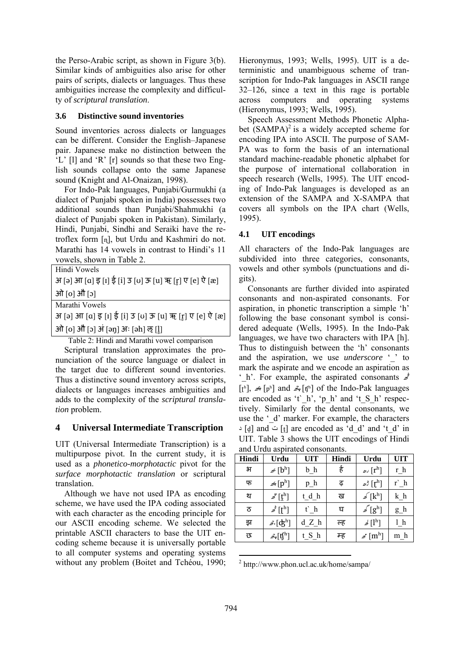the Perso-Arabic script, as shown in Figure 3(b). Similar kinds of ambiguities also arise for other pairs of scripts, dialects or languages. Thus these ambiguities increase the complexity and difficulty of *scriptural translation*.

### **3.6 Distinctive sound inventories**

Sound inventories across dialects or languages can be different. Consider the English–Japanese pair. Japanese make no distinction between the 'L' [l] and 'R' [r] sounds so that these two English sounds collapse onto the same Japanese sound (Knight and Al-Onaizan, 1998).

For Indo-Pak languages, Punjabi/Gurmukhi (a dialect of Punjabi spoken in India) possesses two additional sounds than Punjabi/Shahmukhi (a dialect of Punjabi spoken in Pakistan). Similarly, Hindi, Punjabi, Sindhi and Seraiki have the retroflex form [ɳ], but Urdu and Kashmiri do not. Marathi has 14 vowels in contrast to Hindi's 11 vowels, shown in Table 2.

|  |  | Hindi Vowels |  |  |  |  |
|--|--|--------------|--|--|--|--|
|  |  |              |  |  |  |  |

|  |             | अ [ə] आ [a] इ [ɪ] ई [i] उ [ʊ] ऊ [u] ऋ [r̪] ए [e] ऐ [æ] |  |  |  |  |  |
|--|-------------|--------------------------------------------------------|--|--|--|--|--|
|  | ओ [o] औ [ɔ] |                                                        |  |  |  |  |  |

Marathi Vowels

अ [ə] आ [a] इ [ɪ] ई [i] उ [ʊ] ऊ [u] ऋ [r̪] ए [e] ऐ [æ]

ओ [o] औ [ɔ] अं [əŋ] अः [əh] ऌ [l]

Table 2: Hindi and Marathi vowel comparison

Scriptural translation approximates the pronunciation of the source language or dialect in the target due to different sound inventories. Thus a distinctive sound inventory across scripts, dialects or languages increases ambiguities and adds to the complexity of the *scriptural translation* problem.

### **4 Universal Intermediate Transcription**

UIT (Universal Intermediate Transcription) is a multipurpose pivot. In the current study, it is used as a *phonetico-morphotactic* pivot for the *surface morphotactic translation* or scriptural translation.

Although we have not used IPA as encoding scheme, we have used the IPA coding associated with each character as the encoding principle for our ASCII encoding scheme. We selected the printable ASCII characters to base the UIT encoding scheme because it is universally portable to all computer systems and operating systems without any problem (Boitet and Tchéou, 1990; Hieronymus, 1993; Wells, 1995). UIT is a deterministic and unambiguous scheme of transcription for Indo-Pak languages in ASCII range 32–126, since a text in this rage is portable across computers and operating systems (Hieronymus, 1993; Wells, 1995).

Speech Assessment Methods Phonetic Alphabet  $(SAMPA)^2$  is a widely accepted scheme for encoding IPA into ASCII. The purpose of SAM-PA was to form the basis of an international standard machine-readable phonetic alphabet for the purpose of international collaboration in speech research (Wells, 1995). The UIT encoding of Indo-Pak languages is developed as an extension of the SAMPA and X-SAMPA that covers all symbols on the IPA chart (Wells, 1995).

### **4.1 UIT encodings**

All characters of the Indo-Pak languages are subdivided into three categories, consonants, vowels and other symbols (punctuations and digits).

Consonants are further divided into aspirated consonants and non-aspirated consonants. For aspiration, in phonetic transcription a simple 'h' following the base consonant symbol is considered adequate (Wells, 1995). In the Indo-Pak languages, we have two characters with IPA [h]. Thus to distinguish between the 'h' consonants and the aspiration, we use *underscore* ' to mark the aspirate and we encode an aspiration as '\_h'. For example, the aspirated consonants  $\phi$  $[\mathbf{t}^h]$ ,  $\neq [\mathbf{p}^h]$  and  $\mathcal{L}_{\mathbf{r}}[\mathbf{f}^h]$  of the Indo-Pak languages are encoded as 't' h', 'p h' and 't S h' respectively. Similarly for the dental consonants, we use the '\_d' marker. For example, the characters  $\lceil \cdot | \cdot | \cdot | \rceil$  and  $\lceil \cdot | \cdot | \cdot | \rceil$  are encoded as 'd d' and 't d' in UIT. Table 3 shows the UIT encodings of Hindi and Urdu aspirated consonants.

| Hindi | Urdu                                              | <b>UIT</b> | Hindi | Urdu                                   | <b>UIT</b> |  |  |
|-------|---------------------------------------------------|------------|-------|----------------------------------------|------------|--|--|
| भ     | $\mathscr{L}$ [b <sup>h</sup> ]                   | $b_h$      | है    | $\mathscr{P}[\mathbf{r}^{\mathrm{h}}]$ | $r_h$      |  |  |
| फ     | $\mathscr{A}$ $[p^h]$                             | $p_h$      | ढ़    | $\mathscr{L}$ $[r^h]$                  | $r$ h      |  |  |
| थ     | $\mathscr{I}[\mathfrak{k}^{\mathrm{h}}]$          | t_d_h      | ख     | $\mathscr{I}[k^h]$                     | $k_h$      |  |  |
| ਠ     | $\mathscr{L}[\mathsf{t}^{\mathrm{h}}]$            | t h        | घ     | $\mathscr{I}[\mathbf{g}^\text{h}]$     | $g_h$      |  |  |
| झ     | $\mathscr{L}[\mathsf{d}^\mathrm{h}]$              | d Z h      | ल्ह   | $\mathcal{A}[1^h]$                     | 1 h        |  |  |
| छ     | $\mathcal{A}_{\mathbf{r}}[\mathbf{t}]^{\text{h}}$ | t S h      | म्ह   | $\mathscr{L}[\mathfrak{m}^{\text{h}}]$ | $m_h$      |  |  |

 2 http://www.phon.ucl.ac.uk/home/sampa/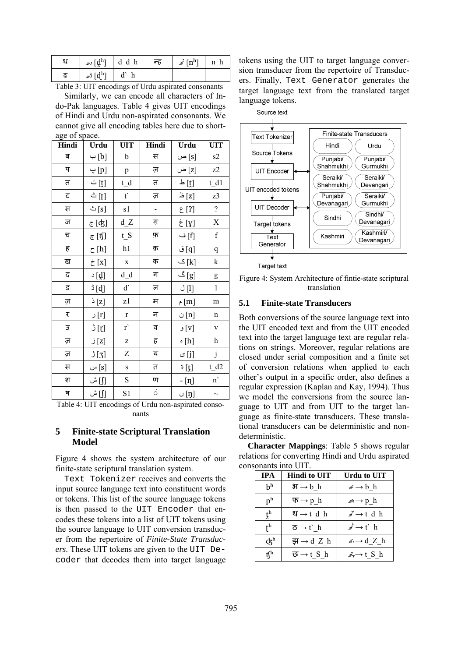| eт | $\mathcal{L}$ $[\mathbf{d}^{\text{h}}]$ d_d_h | न्ह | $\vec{p}$ [n <sup>h</sup> ] n <sup>h</sup> |  |
|----|-----------------------------------------------|-----|--------------------------------------------|--|
| ሬ  | رام $\lbrack \mathrm{d}^{\mathrm{h}}\rbrack$  |     |                                            |  |

Table 3: UIT encodings of Urdu aspirated consonants

Similarly, we can encode all characters of Indo-Pak languages. Table 4 gives UIT encodings of Hindi and Urdu non-aspirated consonants. We cannot give all encoding tables here due to shortage of space.

| Hindi | Urdu              | <b>UIT</b>   | Hindi        | Urdu                                   | UIT              |
|-------|-------------------|--------------|--------------|----------------------------------------|------------------|
| ब     | [b] ب             | b            | स            | [s] ص                                  | s2               |
| प     | [p] پ             | p            | ज़           | [z] ض                                  | z2               |
| त     | [t] ت             | $t_d$        | त            | $\mathbf{r} \left[ \mathbf{r} \right]$ | t d1             |
| ट     | [t] ٹ             | $t^{\prime}$ | ज़           | [z] ظ                                  | z3               |
| स     | s] ث              | s1           |              | [?] ع                                  | $\overline{?}$   |
| ज     | <u>و</u> [ʤ]      | d Z          | ग़           | [y] غ                                  | $\mathbf X$      |
| च     | <u>ङ</u> [t͡ʃ]    | $t_S$        | फ़           | [f] ف                                  | $\mathbf f$      |
| ह     | [h] ح             | h1           | क़           | [q] ق                                  | $\boldsymbol{q}$ |
| ख़    | [x] خ             | $\mathbf X$  | क            | [k] ک                                  | k                |
| द     | $\Delta$ [q]      | $d_d$        | ग            | [g] گ                                  | g                |
| ਤੁ    | $\frac{1}{2}$ [d] | d            | ल            | [1] ل                                  | $\mathbf{1}$     |
| ज़    | [z] ذ             | z1           | म            | [m] م                                  | m                |
| ₹     | [r] ر             | $\mathbf r$  | न            | [n] ن                                  | n                |
| 3     | ់[ɲ]              | r'           | ਰ            | [v] و                                  | $\mathbf V$      |
| ज़    | [z] ز             | Z            | ह            | h] ہ                                   | $\,h$            |
| ज़    | [3] ژ             | Z            | य            | [j] ی                                  | $\dot{\text{j}}$ |
| स     | [s] س             | S            | त            | [t] <sup>ة</sup>                       | $t_d2$           |
| श     | [∫] ش             | S            | ण            | - [ทุ]                                 | $\mathbf{n}$     |
| ष     | [∫] ش             | S1           | $\dot{\phi}$ | [ŋ] ں                                  | $\sim$           |

Table 4: UIT encodings of Urdu non-aspirated consonants

## **5 Finite-state Scriptural Translation Model**

Figure 4 shows the system architecture of our finite-state scriptural translation system.

Text Tokenizer receives and converts the input source language text into constituent words or tokens. This list of the source language tokens is then passed to the UIT Encoder that encodes these tokens into a list of UIT tokens using the source language to UIT conversion transducer from the repertoire of *Finite-State Transducers*. These UIT tokens are given to the UIT Decoder that decodes them into target language

tokens using the UIT to target language conversion transducer from the repertoire of Transducers. Finally, Text Generator generates the target language text from the translated target language tokens.



Figure 4: System Architecture of fintie-state scriptural translation

## **5.1 Finite-state Transducers**

Both conversions of the source language text into the UIT encoded text and from the UIT encoded text into the target language text are regular relations on strings. Moreover, regular relations are closed under serial composition and a finite set of conversion relations when applied to each other's output in a specific order, also defines a regular expression (Kaplan and Kay, 1994). Thus we model the conversions from the source language to UIT and from UIT to the target language as finite-state transducers. These translational transducers can be deterministic and nondeterministic.

**Character Mappings**: Table 5 shows regular relations for converting Hindi and Urdu aspirated consonants into UIT.

| <b>IPA</b>                | <b>Hindi to UIT</b>   | Urdu to UIT                     |
|---------------------------|-----------------------|---------------------------------|
| h <sup>h</sup>            | $H \rightarrow b$ h   | $\mathscr{B} \to b$ h           |
| p <sup>h</sup>            | দ $\rightarrow$ p h   | $\mathscr{L} \to p$ h           |
| $\mathbf{t}^{\mathrm{h}}$ | থ → t d h             | $\vec{z} \rightarrow t$ d h     |
| ${\sf t}^{\rm h}$         | δ→t`h                 | $\mathbb{Z} \to \mathfrak{t}$ h |
| ф <sup>һ</sup>            | झ $\rightarrow$ d Z h | $\mathcal{A} \rightarrow d Z h$ |
| ff <sup>h</sup>           | ন্ত → t S h           | $\mathcal{L} \to t S$ h         |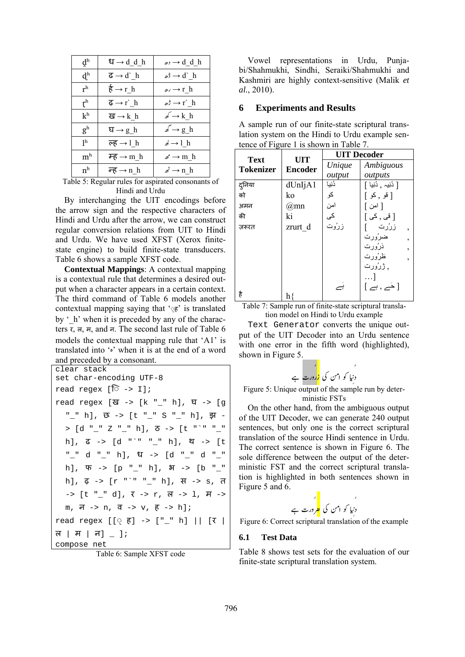| $\mathbf{d}^{\mathrm{h}}$ | ध $\rightarrow$ d_d_h                    | $\omega$ , $\rightarrow$ d_d_h   |
|---------------------------|------------------------------------------|----------------------------------|
| $\mathbf{d}^{\mathrm{h}}$ | $\overline{G} \rightarrow d^{\dagger} h$ | $\mathscr{B} \to \mathsf{d}$ h   |
| r <sup>h</sup>            | $\frac{1}{6} \rightarrow r_h$            | $\omega \rightarrow r_h$         |
| r <sup>h</sup>            | $\overline{\phi} \rightarrow r$ ` h      | $\mathscr{A} \to \mathscr{r}$ h  |
| k <sup>h</sup>            | ख $\rightarrow$ k h                      | $\mathscr{p} \to k$ h            |
| $g^h$                     | घ $\rightarrow$ g_h                      | $\mathscr{L} \to g_h$            |
| 1 <sup>h</sup>            | ल्ह $\rightarrow$ 1 h                    | $\mathcal{A} \rightarrow l \; h$ |
| m <sup>h</sup>            | म्ह $\rightarrow$ m h                    | $\mathscr{B} \to m$ h            |
| n <sup>h</sup>            | न्ह $\rightarrow$ n h                    | $\vec{z} \rightarrow n$ h        |

Table 5: Regular rules for aspirated consonants of Hindi and Urdu

By interchanging the UIT encodings before the arrow sign and the respective characters of Hindi and Urdu after the arrow, we can construct regular conversion relations from UIT to Hindi and Urdu. We have used XFST (Xerox finitestate engine) to build finite-state transducers. Table 6 shows a sample XFST code.

**Contextual Mappings**: A contextual mapping is a contextual rule that determines a desired output when a character appears in a certain context. The third command of Table 6 models another contextual mapping saying that  $\Im \epsilon$  is translated by  $\prime$  h' when it is preceded by any of the characters र, ल, म, and न. The second last rule of Table 6 models the contextual mapping rule that 'A1' is translated into '•' when it is at the end of a word and preceded by a consonant.

```
clear stack 
set char-encoding UTF-8 
read regex [ि -> I];
read regex [ख -> [k "_" h], घ -> [g 
   " " h], छ -> [t " " S " " h], झ -
  > [d "_" Z "_" h], ठ -> [t "`" "_" 
  h], ढ -> [d "`" "_" h], थ -> [t 
   "_" d "_" h], ध -> [d "_" d "_" 
  h], \Psi \rightarrow [p "''n], \mathcal{H} \rightarrow [b "''']h], \overline{\phi} -> [r "`" "__" h], स -> s, त
  \rightarrow [t " " d], \bar{x} \rightarrow r, ल -> 1, म ->
  m, \bar{p} \rightarrow n, \bar{q} \rightarrow v, \bar{p} \rightarrow h ;
read regex [[\circ \xi] -> ["_" h] || [\tau |
ल | H | न| - |;
compose net
```
Table 6: Sample XFST code

Vowel representations in Urdu, Punjabi/Shahmukhi, Sindhi, Seraiki/Shahmukhi and Kashmiri are highly context-sensitive (Malik *et al.*, 2010).

### **6 Experiments and Results**

A sample run of our finite-state scriptural translation system on the Hindi to Urdu example sentence of Figure 1 is shown in Table 7.

| <b>Text</b>      | <b>UIT</b>     | <b>UIT</b> Decoder |                                                                         |  |  |
|------------------|----------------|--------------------|-------------------------------------------------------------------------|--|--|
| <b>Tokenizer</b> | <b>Encoder</b> | Unique             | Ambiguous                                                               |  |  |
|                  |                | output             | outputs                                                                 |  |  |
| दुनिया           | dUnIjA1        | دُنِيا             | [ دُنِيہ ¸ دُنِيا ]                                                     |  |  |
| को               | ko             | کو                 | [قو,كو]                                                                 |  |  |
| अमन              | $@$ mn         | امن                | [ امن <u>]</u>                                                          |  |  |
| की               | ki             | کی                 | $\left[\right.$ $\epsilon$ قى $\epsilon$ , $\epsilon$ ى $\left.\right]$ |  |  |
| जरूरत            | zrurt d        | زرُوت              | زرُرت                                                                   |  |  |
|                  |                |                    | ضرُورت<br>$\overline{ }$                                                |  |  |
|                  |                |                    | ذرُورت<br>$\overline{ }$                                                |  |  |
|                  |                |                    | ظرُورت<br>,                                                             |  |  |
|                  |                |                    | , ژرُورت                                                                |  |  |
|                  |                |                    | $\ldots$ ]                                                              |  |  |
|                  |                |                    | $[\Rightarrow, \neq]$                                                   |  |  |
| है               | hŚ             |                    |                                                                         |  |  |

Table 7: Sample run of finite-state scriptural translation model on Hindi to Urdu example

Text Generator converts the unique output of the UIT Decoder into an Urdu sentence with one error in the fifth word (highlighted), shown in Figure 5.

ì ]gzEgi ÌÐ áðZ â§ 63ÕG [ 3Ee

Figure 5: Unique output of the sample run by deterministic FSTs

On the other hand, from the ambiguous output of the UIT Decoder, we can generate 240 output sentences, but only one is the correct scriptural translation of the source Hindi sentence in Urdu. The correct sentence is shown in Figure 6. The sole difference between the output of the deterministic FST and the correct scriptural translation is highlighted in both sentences shown in Figure 5 and 6.  $\mathbf{r}$ 

ì ]gzEu [ ¢ ÌÐ áðZ â§ 63ÕG [ 3Ee

Figure 6: Correct scriptural translation of the example

### **6.1 Test Data**

Table 8 shows test sets for the evaluation of our finite-state scriptural translation system.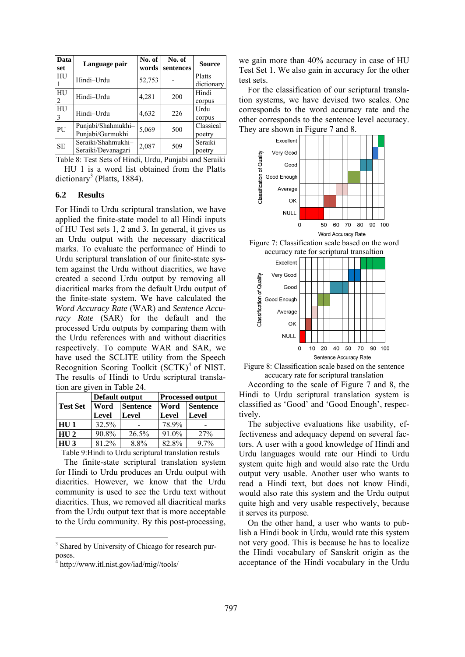| Data<br>set | Language pair                            | No. of<br>words | No. of<br>sentences | <b>Source</b>        |
|-------------|------------------------------------------|-----------------|---------------------|----------------------|
| HU          | Hindi-Urdu                               | 52,753          |                     | Platts<br>dictionary |
| HU<br>2     | Hindi-Urdu                               | 4,281           | 200                 | Hindi<br>corpus      |
| HU<br>3     | Hindi-Urdu                               | 4,632           | 226                 | Urdu<br>corpus       |
| PU          | Punjabi/Shahmukhi-<br>Punjabi/Gurmukhi   | 5,069           | 500                 | Classical<br>poetry  |
| <b>SE</b>   | Seraiki/Shahmukhi-<br>Seraiki/Devanagari | 2,087           | 509                 | Seraiki<br>poetry    |

Table 8: Test Sets of Hindi, Urdu, Punjabi and Seraiki

HU 1 is a word list obtained from the Platts dictionary<sup>3</sup> (Platts, 1884).

#### **6.2 Results**

For Hindi to Urdu scriptural translation, we have applied the finite-state model to all Hindi inputs of HU Test sets 1, 2 and 3. In general, it gives us an Urdu output with the necessary diacritical marks. To evaluate the performance of Hindi to Urdu scriptural translation of our finite-state system against the Urdu without diacritics, we have created a second Urdu output by removing all diacritical marks from the default Urdu output of the finite-state system. We have calculated the *Word Accuracy Rate* (WAR) and *Sentence Accuracy Rate* (SAR) for the default and the processed Urdu outputs by comparing them with the Urdu references with and without diacritics respectively. To compute WAR and SAR, we have used the SCLITE utility from the Speech Recognition Scoring Toolkit (SCTK)<sup>4</sup> of NIST. The results of Hindi to Urdu scriptural translation are given in Table 24.

|                   | Default output |                 | <b>Processed output</b> |                 |  |
|-------------------|----------------|-----------------|-------------------------|-----------------|--|
| <b>Test Set</b>   | Word           | <b>Sentence</b> | <b>Word</b>             | <b>Sentence</b> |  |
|                   | Level          | Level           | Level                   | Level           |  |
| HU <sub>1</sub>   | 32.5%          |                 | 78.9%                   |                 |  |
| $HU$ <sub>2</sub> | 90.8%          | 26.5%           | 91.0%                   | 27%             |  |
| $\overline{HU}$ 3 | $81.2\%$       | 8.8%            | 82.8%                   | 9.7%            |  |

Table 9:Hindi to Urdu scriptural translation restuls

The finite-state scriptural translation system for Hindi to Urdu produces an Urdu output with diacritics. However, we know that the Urdu community is used to see the Urdu text without diacritics. Thus, we removed all diacritical marks from the Urdu output text that is more acceptable to the Urdu community. By this post-processing,

we gain more than 40% accuracy in case of HU Test Set 1. We also gain in accuracy for the other test sets.

For the classification of our scriptural translation systems, we have devised two scales. One corresponds to the word accuracy rate and the other corresponds to the sentence level accuracy. They are shown in Figure 7 and 8.



Figure 8: Classification scale based on the sentence accucary rate for scriptural translation

According to the scale of Figure 7 and 8, the Hindi to Urdu scriptural translation system is classified as 'Good' and 'Good Enough', respectively.

The subjective evaluations like usability, effectiveness and adequacy depend on several factors. A user with a good knowledge of Hindi and Urdu languages would rate our Hindi to Urdu system quite high and would also rate the Urdu output very usable. Another user who wants to read a Hindi text, but does not know Hindi, would also rate this system and the Urdu output quite high and very usable respectively, because it serves its purpose.

On the other hand, a user who wants to publish a Hindi book in Urdu, would rate this system not very good. This is because he has to localize the Hindi vocabulary of Sanskrit origin as the acceptance of the Hindi vocabulary in the Urdu

<sup>&</sup>lt;sup>3</sup> Shared by University of Chicago for research purposes.

<sup>&</sup>lt;sup>4</sup> http://www.itl.nist.gov/iad/mig//tools/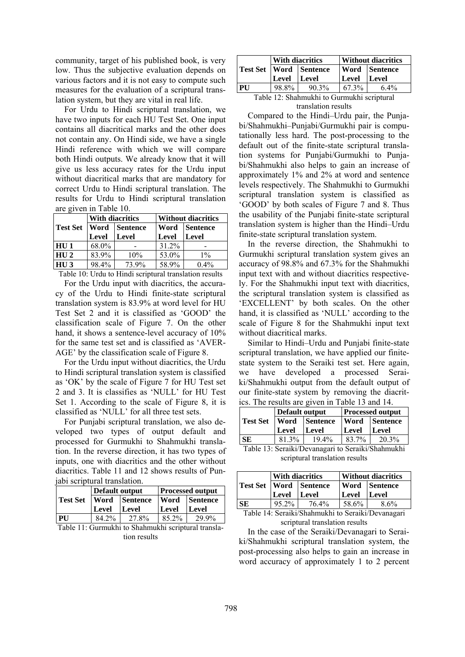community, target of his published book, is very low. Thus the subjective evaluation depends on various factors and it is not easy to compute such measures for the evaluation of a scriptural translation system, but they are vital in real life.

For Urdu to Hindi scriptural translation, we have two inputs for each HU Test Set. One input contains all diacritical marks and the other does not contain any. On Hindi side, we have a single Hindi reference with which we will compare both Hindi outputs. We already know that it will give us less accuracy rates for the Urdu input without diacritical marks that are mandatory for correct Urdu to Hindi scriptural translation. The results for Urdu to Hindi scriptural translation are given in Table 10.

|                 | With diacritics |                      | <b>Without diacritics</b> |                      |  |
|-----------------|-----------------|----------------------|---------------------------|----------------------|--|
| <b>Test Set</b> |                 | <b>Word Sentence</b> |                           | <b>Word Sentence</b> |  |
|                 | Level           | Level                | Level                     | Level                |  |
| HU <sub>1</sub> | 68.0%           |                      | 31.2%                     |                      |  |
| HU2             | 83.9%           | 10%                  | $53.0\%$                  | $1\%$                |  |
| HI13            | 98.4%           | 73.9%                | 58.9%                     | $0.4\%$              |  |

Table 10: Urdu to Hindi scriptural translation results

For the Urdu input with diacritics, the accuracy of the Urdu to Hindi finite-state scriptural translation system is 83.9% at word level for HU Test Set 2 and it is classified as 'GOOD' the classification scale of Figure 7. On the other hand, it shows a sentence-level accuracy of 10% for the same test set and is classified as 'AVER-AGE' by the classification scale of Figure 8.

For the Urdu input without diacritics, the Urdu to Hindi scriptural translation system is classified as 'OK' by the scale of Figure 7 for HU Test set 2 and 3. It is classifies as 'NULL' for HU Test Set 1. According to the scale of Figure 8, it is classified as 'NULL' for all three test sets.

For Punjabi scriptural translation, we also developed two types of output default and processed for Gurmukhi to Shahmukhi translation. In the reverse direction, it has two types of inputs, one with diacritics and the other without diacritics. Table 11 and 12 shows results of Punjabi scriptural translation.

|    | Default output |                                   | <b>Processed output</b> |                 |
|----|----------------|-----------------------------------|-------------------------|-----------------|
|    |                | <b>Test Set   Word   Sentence</b> |                         | Word   Sentence |
|    | Level          | Level                             | Level                   | Level           |
| PU | 84.2%          | 27.8%                             | $85.2\%$                | 29.9%           |

Table 11: Gurmukhi to Shahmukhi scriptural translation results

|                                            | <b>With diacritics</b> |                            | <b>Without diacritics</b> |               |
|--------------------------------------------|------------------------|----------------------------|---------------------------|---------------|
|                                            |                        | Test Set   Word   Sentence |                           | Word Sentence |
|                                            | Level Level            |                            | Level Level               |               |
| <b>PU</b>                                  | 98.8%                  | 90.3%                      | $67.3\%$                  | 64%           |
| Table 12: Shahmukhi to Gurmukhi scriptural |                        |                            |                           |               |

#### translation results

Compared to the Hindi–Urdu pair, the Punjabi/Shahmukhi–Punjabi/Gurmukhi pair is computationally less hard. The post-processing to the default out of the finite-state scriptural translation systems for Punjabi/Gurmukhi to Punjabi/Shahmukhi also helps to gain an increase of approximately 1% and 2% at word and sentence levels respectively. The Shahmukhi to Gurmukhi scriptural translation system is classified as 'GOOD' by both scales of Figure 7 and 8. Thus the usability of the Punjabi finite-state scriptural translation system is higher than the Hindi–Urdu finite-state scriptural translation system.

In the reverse direction, the Shahmukhi to Gurmukhi scriptural translation system gives an accuracy of 98.8% and 67.3% for the Shahmukhi input text with and without diacritics respectively. For the Shahmukhi input text with diacritics, the scriptural translation system is classified as 'EXCELLENT' by both scales. On the other hand, it is classified as 'NULL' according to the scale of Figure 8 for the Shahmukhi input text without diacritical marks.

Similar to Hindi–Urdu and Punjabi finite-state scriptural translation, we have applied our finitestate system to the Seraiki test set. Here again, we have developed a processed Seraiki/Shahmukhi output from the default output of our finite-state system by removing the diacritics. The results are given in Table 13 and 14.

|                 | Default output |                 | <b>Processed output</b> |                 |
|-----------------|----------------|-----------------|-------------------------|-----------------|
| <b>Test Set</b> | Word           | <b>Sentence</b> | <b>Word</b>             | <b>Sentence</b> |
|                 | Level          | Level           | Level                   | Level           |
| <b>SE</b>       | 81.3%          | 19.4%           | 83.7%                   | 20.3%           |

Table 13: Seraiki/Devanagari to Seraiki/Shahmukhi scriptural translation results

|           | <b>With diacritics</b> |                            | <b>Without diacritics</b> |               |
|-----------|------------------------|----------------------------|---------------------------|---------------|
|           |                        | Test Set   Word   Sentence |                           | Word Sentence |
|           | Level Level            |                            | Level Level               |               |
| <b>SE</b> | $95.2\%$               | 76.4%                      | $58.6\%$                  | 8.6%          |

Table 14: Seraiki/Shahmukhi to Seraiki/Devanagari scriptural translation results

In the case of the Seraiki/Devanagari to Seraiki/Shahmukhi scriptural translation system, the post-processing also helps to gain an increase in word accuracy of approximately 1 to 2 percent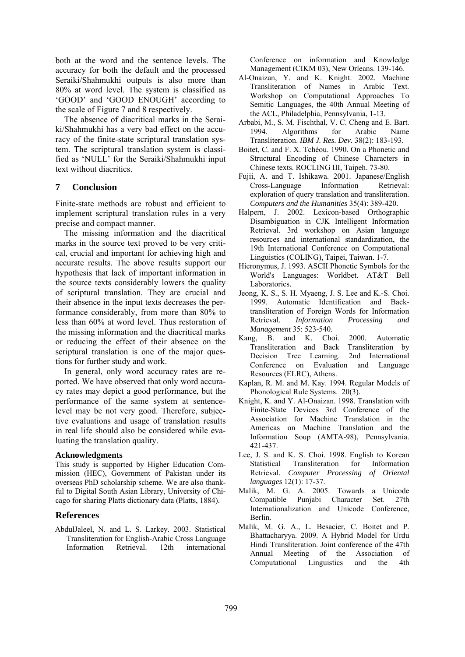both at the word and the sentence levels. The accuracy for both the default and the processed Seraiki/Shahmukhi outputs is also more than 80% at word level. The system is classified as 'GOOD' and 'GOOD ENOUGH' according to the scale of Figure 7 and 8 respectively.

The absence of diacritical marks in the Seraiki/Shahmukhi has a very bad effect on the accuracy of the finite-state scriptural translation system. The scriptural translation system is classified as 'NULL' for the Seraiki/Shahmukhi input text without diacritics.

### **7 Conclusion**

Finite-state methods are robust and efficient to implement scriptural translation rules in a very precise and compact manner.

The missing information and the diacritical marks in the source text proved to be very critical, crucial and important for achieving high and accurate results. The above results support our hypothesis that lack of important information in the source texts considerably lowers the quality of scriptural translation. They are crucial and their absence in the input texts decreases the performance considerably, from more than 80% to less than 60% at word level. Thus restoration of the missing information and the diacritical marks or reducing the effect of their absence on the scriptural translation is one of the major questions for further study and work.

In general, only word accuracy rates are reported. We have observed that only word accuracy rates may depict a good performance, but the performance of the same system at sentencelevel may be not very good. Therefore, subjective evaluations and usage of translation results in real life should also be considered while evaluating the translation quality.

#### **Acknowledgments**

This study is supported by Higher Education Commission (HEC), Government of Pakistan under its overseas PhD scholarship scheme. We are also thankful to Digital South Asian Library, University of Chicago for sharing Platts dictionary data (Platts, 1884).

### **References**

AbdulJaleel, N. and L. S. Larkey. 2003. Statistical Transliteration for English-Arabic Cross Language Information Retrieval. 12th international Conference on information and Knowledge Management (CIKM 03), New Orleans. 139-146.

- Al-Onaizan, Y. and K. Knight. 2002. Machine Transliteration of Names in Arabic Text. Workshop on Computational Approaches To Semitic Languages, the 40th Annual Meeting of the ACL, Philadelphia, Pennsylvania, 1-13.
- Arbabi, M., S. M. Fischthal, V. C. Cheng and E. Bart. 1994. Algorithms for Arabic Name Transliteration. *IBM J. Res. Dev.* 38(2): 183-193.
- Boitet, C. and F. X. Tchéou. 1990. On a Phonetic and Structural Encoding of Chinese Characters in Chinese texts. ROCLING III, Taipeh. 73-80.
- Fujii, A. and T. Ishikawa. 2001. Japanese/English Cross-Language Information Retrieval: exploration of query translation and transliteration. *Computers and the Humanities* 35(4): 389-420.
- Halpern, J. 2002. Lexicon-based Orthographic Disambiguation in CJK Intelligent Information Retrieval. 3rd workshop on Asian language resources and international standardization, the 19th International Conference on Computational Linguistics (COLING), Taipei, Taiwan. 1-7.
- Hieronymus, J. 1993. ASCII Phonetic Symbols for the World's Languages: Worldbet. AT&T Bell Laboratories.
- Jeong, K. S., S. H. Myaeng, J. S. Lee and K.-S. Choi. 1999. Automatic Identification and Backtransliteration of Foreign Words for Information Retrieval. *Information Processing and Management* 35: 523-540.
- Kang, B. and K. Choi. 2000. Automatic Transliteration and Back Transliteration by Decision Tree Learning. 2nd International Conference on Evaluation and Language Resources (ELRC), Athens.
- Kaplan, R. M. and M. Kay. 1994. Regular Models of Phonological Rule Systems. 20(3).
- Knight, K. and Y. Al-Onaizan. 1998. Translation with Finite-State Devices 3rd Conference of the Association for Machine Translation in the Americas on Machine Translation and the Information Soup (AMTA-98), Pennsylvania. 421-437.
- Lee, J. S. and K. S. Choi. 1998. English to Korean Statistical Transliteration for Information Retrieval. *Computer Processing of Oriental languages* 12(1): 17-37.
- Malik, M. G. A. 2005. Towards a Unicode Compatible Punjabi Character Set. 27th Internationalization and Unicode Conference, Berlin.
- Malik, M. G. A., L. Besacier, C. Boitet and P. Bhattacharyya. 2009. A Hybrid Model for Urdu Hindi Transliteration. Joint conference of the 47th Annual Meeting of the Association of Computational Linguistics and the 4th